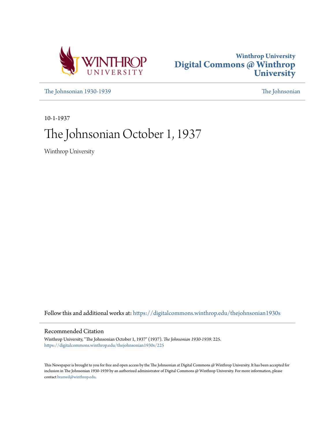



[The Johnsonian 1930-1939](https://digitalcommons.winthrop.edu/thejohnsonian1930s?utm_source=digitalcommons.winthrop.edu%2Fthejohnsonian1930s%2F225&utm_medium=PDF&utm_campaign=PDFCoverPages) [The Johnsonian](https://digitalcommons.winthrop.edu/thejohnsonian_newspaper?utm_source=digitalcommons.winthrop.edu%2Fthejohnsonian1930s%2F225&utm_medium=PDF&utm_campaign=PDFCoverPages)

10-1-1937

## The Johnsonian October 1, 1937

Winthrop University

Follow this and additional works at: [https://digitalcommons.winthrop.edu/thejohnsonian1930s](https://digitalcommons.winthrop.edu/thejohnsonian1930s?utm_source=digitalcommons.winthrop.edu%2Fthejohnsonian1930s%2F225&utm_medium=PDF&utm_campaign=PDFCoverPages)

## Recommended Citation

Winthrop University, "The Johnsonian October 1, 1937" (1937). *The Johnsonian 1930-1939*. 225. [https://digitalcommons.winthrop.edu/thejohnsonian1930s/225](https://digitalcommons.winthrop.edu/thejohnsonian1930s/225?utm_source=digitalcommons.winthrop.edu%2Fthejohnsonian1930s%2F225&utm_medium=PDF&utm_campaign=PDFCoverPages)

This Newspaper is brought to you for free and open access by the The Johnsonian at Digital Commons @ Winthrop University. It has been accepted for inclusion in The Johnsonian 1930-1939 by an authorized administrator of Digital Commons @ Winthrop University. For more information, please contact [bramed@winthrop.edu](mailto:bramed@winthrop.edu).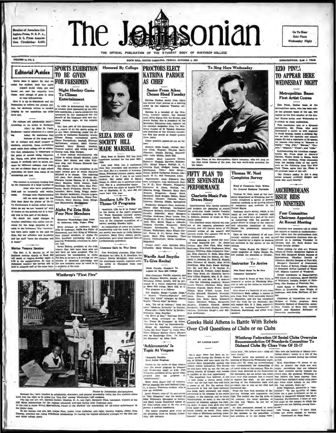**Jember of Associate Col**legiate Press, N. S. P. A. nd S. C. Press Association. Circulation: 2,400.



**PROCTORS ELECT** 

VOLUME 1a, NO. 3.



**SPORTS EXHIBITION** 

**Honored By College** 



SUBSCRIPTION, \$1.00 A YEAR

# **EZIO PINZA**



Because they have conciled in schedarn<br>hip, charecter, and general agreementity rails, the first show was the right to be called the "first five" among Windbreght 1,697 stollars.<br>In the studies that we want the thermal in

s funder class.<br>In the bottom row are, left, Louise Fant, junior, from Anderson and right, Dorothy Rogers, senior, from<br>Sway, awarded the Aulus Friedheim achoitarables for having the highest scholaric averages for the firs

**Achievements' Is and the state of the state of the state of the state of the state of the state of the state of the state of the state of the state of the state of the state of the state of the state of the state of the** 

Go To Hear **Relo** Pinza Wednesday Night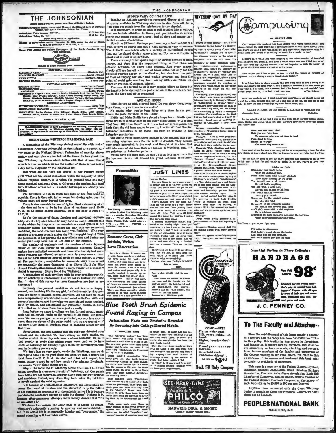## THE JOHNSONIAN

During School Year Except Holiday Porte fular Seation the Official Organ of the Student Body of Wint<br>College, The South Carolina College for Women ...31.00 Per Year<br>...31.50 Per Year tion Price (regular sension<br>tion Price, By Mall....... Advertising Rates on Application ed as second-class matter November 21, 1923, under the Act of Marci 3, 1979, at portoffice in Rock Hill, S. C. Rated First Among the College Newspapers of the South Carolina College  $\left( \frac{1}{2} \right)$ na Prem J or of Booth Car

**EDITORIAL COUNCIL** climbeth Kell **ITOR IN CHIEF**  $are$ **BORDINES MARAO**<br>HEWE EDITOR ...<br>**FRATURE EDITOR** et Altras Pau Laurie Donald<br>Imie MeMerid<br>Jeden EDITORIAL ASSISTAN **TY EDITOR** 

McMondie<br>
Marriet Morgan,<br>
uncy Beaty, Alya<br>
terring, Mart<br>
forward With Winnia Davis, Rosa Lu Hucks, Elizabeth Byrd, Tribis, Virginia Davis, Rosa Lu Hucks, Elizabeth Byrd, Politic Philip Bar, Frances Burnette, Annie Laurie Sturkey, N<br>1982, Elizabeth Ballenger, Charlotte Wheeler, Virgins a

**ULATION MANAGER** OCIATES: Louise Gaston, Alice Willimon. Barah Shine, Mary Ga<br>Martha Gaston, Martha Jo Jones, Jean Phifer, Nancy Black, Louise B

**FRIDAY, OCTOBER 1, 1987** 

threp campus. Will you him an wants to merit a rep a la con thy call our<br>tals of rand

### DISCOVERED: WINTHROP HAS SOCIAL LAG!

A comparison of the Winthrop student social life with that of the average American college girl as determined by a recent survey made by the National Student Federation of America shows plainly that our rules are far behind the times. In fact about the only Winthrop regulation which tallies with that of more liberal schools is the one which leaves the matter of three square meals a day to the judgment of the individual girl.

Just what are the "do's and don'ts" of the average colle girl? What are the social regulations which the majority of girls' schools require? Briefly, it is taken for granted that she may dance at school and away from it. Of course she smokes, but (and here Winthrop scores No. 2) alcoholic beverages are strictly for

hidden.<br>The dormitory life is as much like that of her own home as<br>possible. There is the radio in her room, but during quiet hour its<br>volume must not carry beyond the room.<br>There is also unrestricted use of lights. Most 12 P.M.

As for the matter of dates, freedom and individual responsi-As for the matter of dates, freedom and individual responsibility are the legendes here. She may have as many mgagements as she wishes, but they must be recorded on a card system in her domisory office. The places where s

reaction of a chance to park makes the Winthrop girl laugh.) With the permission of a chance to park makes the Winthrop girl laugh.) With senior year may ride in care and during her and the number of twelends and the numb

cessary?

uly the present conditions do not insure a happy Obvi normal, nor inspiring life for any girl, for fundamentally they pre-<br>vent the doing of natural, normal activities. All our lives we have

vant lie doing of natural, normal activities. All our lives we have comparatively unreatricted in our social activities. With our parents' parameter and involved ge we have algorithm and involved in its model it it suited first time.

first time. Here enforced, We don't dance, we don't smoke, we have what<br>here is a couple food-se some sets put it remains a charge of the control of the sets in the set of the sets of the sets of the sets of the sets of t

We don't fuse so very much, we do like Winthrop, and we do an<br>anarge to have a fairly good time; but when we read a report like is<br>a report of a summary of have a fairly good time; but when we read a report in<br>the more pl

or counter at the ball of the Micharophan<br>disk care the ball of the ball of the ball of the ball of the state<br>disk are performed. That figure defi-<br>hitle grave the "shawer" Bone hang their<br>to the "shawers" Bone hang their<br> In reveal against the examing over.<br>In it because of a total lack of association and cooperation be-<br>tween the board of trustees and the students? Is is the failure<br>of the students to cooperate with the administration? Is the students on we remain with the annumistration? Is it because the students don't care enough to fight for change? Perhaps it is, no use after numerous attempts we've lamely decided that "it's no use after  $x\mathbb{R}$ ."

or use after all."<br>Whatever the reason, the cause back of it ahould be erased. Total may bracke a time with the stress of the summer behavior of a control party in the standard state of the stress of the stress of the stre

SPORTS VARY COLLEGE LIFE Monday an Athletic as sored display of all types sociation-spor noncary an Attacher Winthrop students in club form will for a

THE JOHNSONIAN

time turn our minist from the intellectual to the physical.<br>It is necessary, in order to build a well-rounded life at college, that we include athletics. In times past, participation in college sports has meant spending a great deal of time and energy on a imited number of activities.

Innice number of activities.<br>
Now it is different. Perhaps you have only a few half-hours a<br>
week to give to sports and don't want anything very strenuous. "September in the Rain." On discover-<br>
The Athletic association o

great deal of skill to enjoy them.<br>
There are many other spectromagneous degrees of skill, one<br>
gry, and time, But the important thing is that there are athetic activities for every type stodent. And every dust<br>
shield af ents on grounds of common interest.

You may not be used to it: it may require effort at first; but<br>To may not be used to it: it may require effort at first; but<br>the benefits to be derived from participation in the sports are well

The benefits to be derived from participation in the sports are well  $\frac{\text{length}}{2}$ .<br>
worth the time and effect consumed.<br>
where the main of the sports are well  $\frac{\text{length}}{2}$ .<br>
What do you do with your Old HoSSP?<br>
What do yo



- wise - - -<br>"To retire."

**Rosanne Guess, Club** Initiate, Writes **Love Dissertation** 

ang ... senior from An<br>in chief The Winthrop unthrop Jour.<br>17 Edward

and the edges, the coolies, I mean. Olalowsers are the coolies, and the edges of the curvation were plain. A terminology set and the performance in the performance of the set of the cooline of the cooline of the cooline o

Love is a disease. It comer and

tlep.<br>They've cut the heat on in our dorm-<br>tory-but I'd just as soon hear my<br>ceth rattle as to amell this funny<br>troms or odor or something.<br>Mother, when was Daddy's pay-day?<br>Lots of lore, **Bally** 

Leve is a disease. It contracts of the state of the state points and some two two models are the contract of form can be peak as the peak of the state and years and years and years and years and years and years of the sta fairs which usually end in mar-<br>ringe.<br>Love known no bounds. It strikes the male and the skinny, the bow-legged and<br>the famale, the maniple-<br>the incoming the formal strike and the incoming the

ed and the false-to dumb but not the smart.<br>Love-Ask a Winthrop girl!

## **Blue Tooth Brush Epidemic Found Raging in Campus**

Astounding Facts and Statistics Revealed By Inquiring into College Dental Habits



Morphrus until that first class. The roommate of mine-extremely talks-

tive individual-and, underturately added<br>at a string of a discussion of a string of a discussion of the string of<br>and string of the string of the string of the string of<br>and string of the string of the string of the basic

tive individual-and, unfortur

Alier's mother sem her some cur- Yound or balloma on green gloss. Said for<br>sing that for the room equr- Yound or balloma on green gloss, whether Tra see from poting whether the sole of When see<br>the value of the sole of th



Goodyear center Supertwist cord.<br>Handsome sidew as low as \$640

Rock Hill Body Company



**MAXWELL BROS. & MOORE** 



Our campus this weekend has been dotted with those unmistakable<br>pots-namely the hald craniums of the shorn lanks of our fellow school, On, Carl you send a few nice, dignified, and experienced suphemores once.<br>On, Carl you

I didn't know what they were laughing at the other morning at tweathet, but I laughted, too, heartify, and then I fooked down and as **w** I had put on my hip here aint to were my pajama bottoms and had forgotten to omit th

Now maybe you'd like a joke or two, to start the month of October off fight--or are you dating a coupla Citadel boys tonight?

If a follow tries to him a weenan and gots away with it he's a man; if<br>tries and doesn't get away with it, he's a brute; if he doesn't key, but vesaled intervent with it in freed, in's a coward; but if he fitted intervent

And that re nda me-I read som girl for a kiss, hecause she feels as if she has to my no, but just go on and<br>ke it! Now I'm not advocating any such brute force, out--

Prom all I've heard, you can lead an S. E. A. man to water, but why  $-$  CM  $1h$ nt him.

In the memoirs of my past I dug up this little bit of Dorothy Dixian pohy. Maybe this is just what you need to revive your epirits after not ghat that dance bid?

Have you ever boen bloo?<br>Have you ever been true<br>To someone who was not true to you?<br>Then don't be blue!

What's he to you?! class to doll

Now don't think i'm down on men, but it's so exasperating if he's the kind<br>to thinks so much about you that he forgets to send anything but his love!

To the 1,450 or more of you out there, someone has summed up in 18 lines<br>which men to look for and which to aveid. If, or not, you've in love, read

**Advice for Oirls** 

- 
- Keep away from track men-<br>They are unmutally fast.<br>Never moke dates with biol
- 
- 
- 
- 
- 
- 
- 
- 
- Never make dates with bisology students with the<br>ology students with bisology students of the function of the studients<br>of the studients of the studients of the studients of<br>the studients and the studients of the terminal rs talk shout

They enjoy blowing their own horns

ut I say to you in just four Hoes:

I've come to o That to love is not alvays the best-<br>Each man has his own illusions,<br>But-each man is just like the rest!



J. C. PENNEY CO.

## To The Faculty and Attaches--

Since the establish Since the establishment of this hank, nearly a quarter<br>of a century ago, its policy has been "no favorites." Due<br>of a century grap, it is policy, this institution has grown in favoritism,<br>and insofar as Winthrop faculty m ent of this hank, nearly a qu

This bank is a member of the Federal Reserve System, American Bankers Association, South Carolina Bankers Association, Elok Hill Association, Financial Advertisers Association, Elok Hill the Federal Deposite the Pederal D

Anytime those connected with the Great Winthrop desire to consult us about their financial affairs, we want them not to hesitate.

**PEOPLES NATIONAL BANK** ROCK HILL, S. C.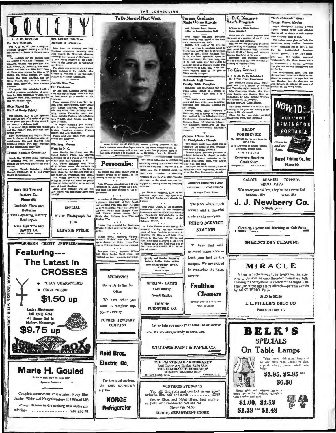